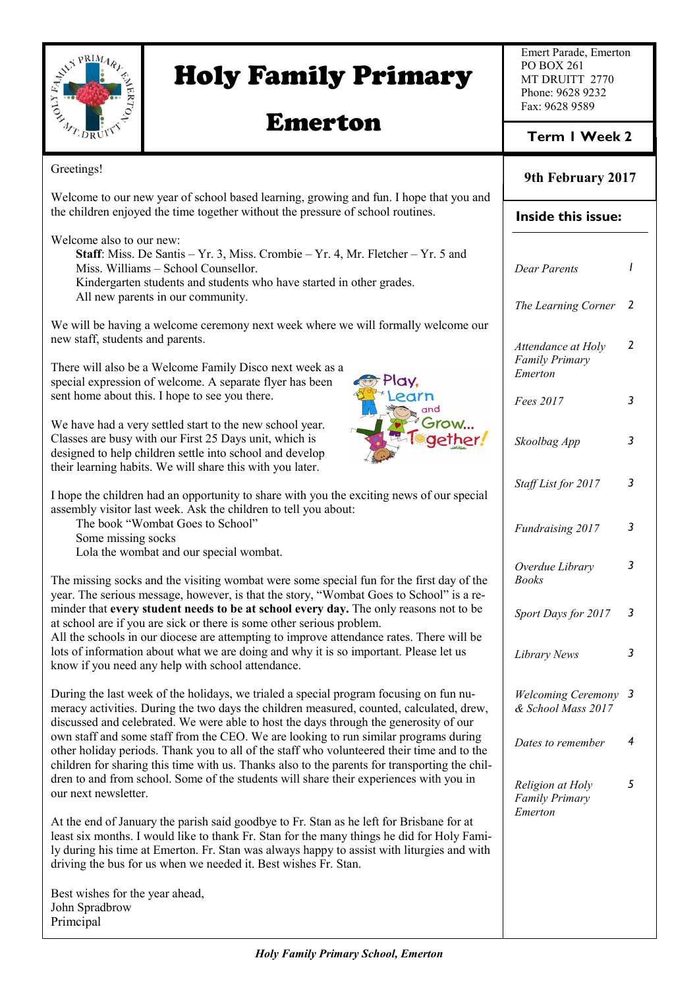

Primcipal

# Holy Family Primary

## Emerton

Emert Parade, Emerton PO BOX 261 MT DRUITT 2770 Phone: 9628 9232 Fax: 9628 9589

### **Term 1 Week 2**

| Greetings!                                                                                                                                                                                                                                                                                                                                              | 9th February 2017                                    |   |
|---------------------------------------------------------------------------------------------------------------------------------------------------------------------------------------------------------------------------------------------------------------------------------------------------------------------------------------------------------|------------------------------------------------------|---|
| Welcome to our new year of school based learning, growing and fun. I hope that you and<br>the children enjoyed the time together without the pressure of school routines.                                                                                                                                                                               | Inside this issue:                                   |   |
| Welcome also to our new:<br>Staff: Miss. De Santis - Yr. 3, Miss. Crombie - Yr. 4, Mr. Fletcher - Yr. 5 and<br>Miss. Williams - School Counsellor.<br>Kindergarten students and students who have started in other grades.<br>All new parents in our community.                                                                                         | <b>Dear Parents</b><br>The Learning Corner 2         |   |
| We will be having a welcome ceremony next week where we will formally welcome our<br>new staff, students and parents.<br>There will also be a Welcome Family Disco next week as a                                                                                                                                                                       | Attendance at Holy<br><b>Family Primary</b>          | 2 |
| special expression of welcome. A separate flyer has been<br>'lay,<br>sent home about this. I hope to see you there.<br>earn<br>and                                                                                                                                                                                                                      | Emerton<br>Fees 2017                                 | 3 |
| Grow<br>We have had a very settled start to the new school year.<br>Classes are busy with our First 25 Days unit, which is<br>designed to help children settle into school and develop<br>their learning habits. We will share this with you later.                                                                                                     | Skoolbag App                                         | 3 |
| I hope the children had an opportunity to share with you the exciting news of our special<br>assembly visitor last week. Ask the children to tell you about:                                                                                                                                                                                            | Staff List for 2017                                  | 3 |
| The book "Wombat Goes to School"<br>Some missing socks<br>Lola the wombat and our special wombat.                                                                                                                                                                                                                                                       | Fundraising 2017                                     | 3 |
| The missing socks and the visiting wombat were some special fun for the first day of the<br>year. The serious message, however, is that the story, "Wombat Goes to School" is a re-                                                                                                                                                                     | Overdue Library<br><b>Books</b>                      | 3 |
| minder that every student needs to be at school every day. The only reasons not to be<br>at school are if you are sick or there is some other serious problem.<br>All the schools in our diocese are attempting to improve attendance rates. There will be                                                                                              | Sport Days for 2017                                  | 3 |
| lots of information about what we are doing and why it is so important. Please let us<br>know if you need any help with school attendance.                                                                                                                                                                                                              | Library News                                         | 3 |
| During the last week of the holidays, we trialed a special program focusing on fun nu-<br>meracy activities. During the two days the children measured, counted, calculated, drew,<br>discussed and celebrated. We were able to host the days through the generosity of our                                                                             | <b>Welcoming Ceremony 3</b><br>& School Mass 2017    |   |
| own staff and some staff from the CEO. We are looking to run similar programs during<br>other holiday periods. Thank you to all of the staff who volunteered their time and to the<br>children for sharing this time with us. Thanks also to the parents for transporting the chil-                                                                     | Dates to remember                                    | 4 |
| dren to and from school. Some of the students will share their experiences with you in<br>our next newsletter.                                                                                                                                                                                                                                          | Religion at Holy<br><b>Family Primary</b><br>Emerton | 5 |
| At the end of January the parish said goodbye to Fr. Stan as he left for Brisbane for at<br>least six months. I would like to thank Fr. Stan for the many things he did for Holy Fami-<br>ly during his time at Emerton. Fr. Stan was always happy to assist with liturgies and with<br>driving the bus for us when we needed it. Best wishes Fr. Stan. |                                                      |   |
| Best wishes for the year ahead,<br>John Spradbrow                                                                                                                                                                                                                                                                                                       |                                                      |   |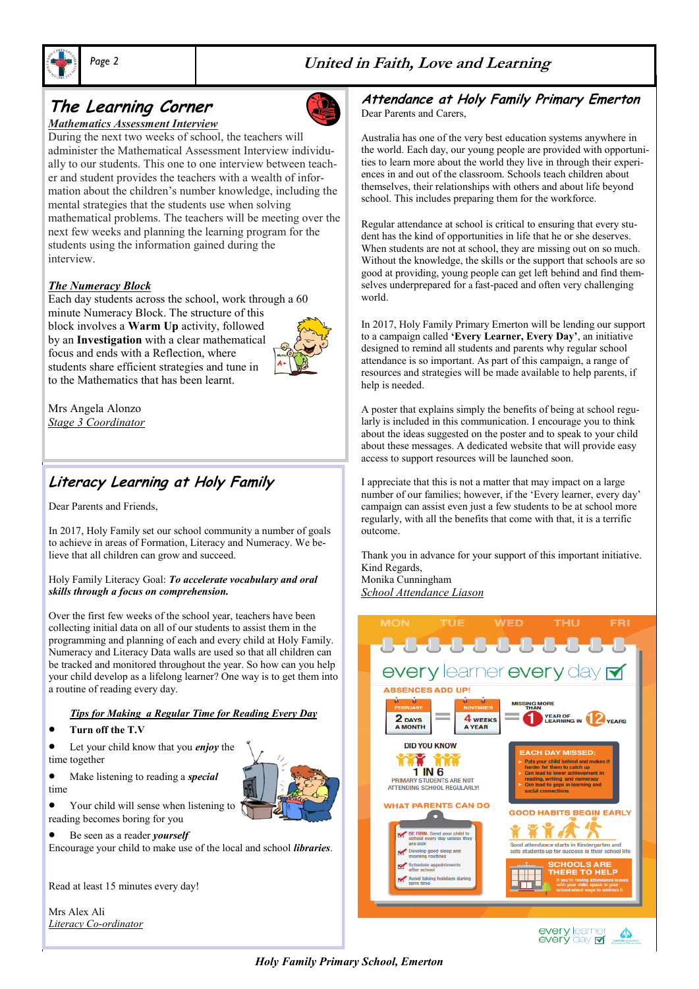



## **The Learning Corner**



During the next two weeks of school, the teachers will administer the Mathematical Assessment Interview individually to our students. This one to one interview between teacher and student provides the teachers with a wealth of information about the children's number knowledge, including the mental strategies that the students use when solving mathematical problems. The teachers will be meeting over the next few weeks and planning the learning program for the students using the information gained during the interview.

#### *The Numeracy Block*

Each day students across the school, work through a 60 minute Numeracy Block. The structure of this block involves a **Warm Up** activity, followed by an **Investigation** with a clear mathematical focus and ends with a Reflection, where students share efficient strategies and tune in to the Mathematics that has been learnt.



Mrs Angela Alonzo *Stage 3 Coordinator*

### **Literacy Learning at Holy Family**

Dear Parents and Friends,

In 2017, Holy Family set our school community a number of goals to achieve in areas of Formation, Literacy and Numeracy. We believe that all children can grow and succeed.

#### Holy Family Literacy Goal: *To accelerate vocabulary and oral skills through a focus on comprehension.*

Over the first few weeks of the school year, teachers have been collecting initial data on all of our students to assist them in the programming and planning of each and every child at Holy Family. Numeracy and Literacy Data walls are used so that all children can be tracked and monitored throughout the year. So how can you help your child develop as a lifelong learner? One way is to get them into a routine of reading every day.

#### *Tips for Making a Regular Time for Reading Every Day*

- **Turn off the T.V**
- Let your child know that you *enjoy* the time together





• Your child will sense when listening to reading becomes boring for you

Be seen as a reader *yourself*

Encourage your child to make use of the local and school *libraries*.

Read at least 15 minutes every day!

Mrs Alex Ali *Literacy Co-ordinator*

#### **Attendance at Holy Family Primary Emerton** Dear Parents and Carers,

Australia has one of the very best education systems anywhere in the world. Each day, our young people are provided with opportunities to learn more about the world they live in through their experiences in and out of the classroom. Schools teach children about themselves, their relationships with others and about life beyond school. This includes preparing them for the workforce.

Regular attendance at school is critical to ensuring that every student has the kind of opportunities in life that he or she deserves. When students are not at school, they are missing out on so much. Without the knowledge, the skills or the support that schools are so good at providing, young people can get left behind and find themselves underprepared for a fast-paced and often very challenging world.

In 2017, Holy Family Primary Emerton will be lending our support to a campaign called **'Every Learner, Every Day'**, an initiative designed to remind all students and parents why regular school attendance is so important. As part of this campaign, a range of resources and strategies will be made available to help parents, if help is needed.

A poster that explains simply the benefits of being at school regularly is included in this communication. I encourage you to think about the ideas suggested on the poster and to speak to your child about these messages. A dedicated website that will provide easy access to support resources will be launched soon.

I appreciate that this is not a matter that may impact on a large number of our families; however, if the 'Every learner, every day' campaign can assist even just a few students to be at school more regularly, with all the benefits that come with that, it is a terrific outcome.

Thank you in advance for your support of this important initiative. Kind Regards,

Monika Cunningham *School Attendance Liason*



*Holy Family Primary School, Emerton*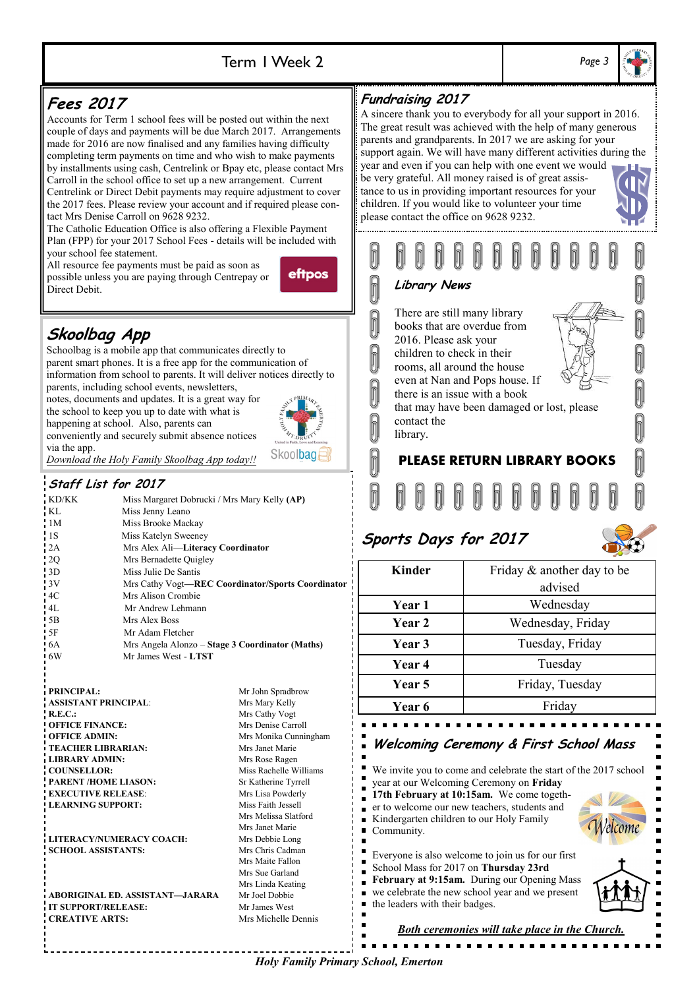### Term 1 Week 2 *Page 3*





*Holy Family Primary School, Emerton*